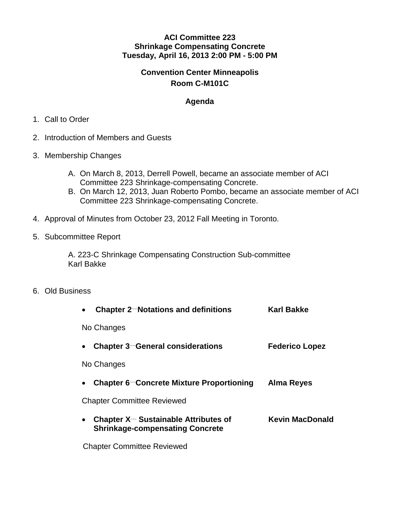### **ACI Committee 223 Shrinkage Compensating Concrete Tuesday, April 16, 2013 2:00 PM - 5:00 PM**

# **Convention Center Minneapolis Room C-M101C**

## **Agenda**

#### 1. Call to Order

- 2. Introduction of Members and Guests
- 3. Membership Changes
	- A. On March 8, 2013, Derrell Powell, became an associate member of ACI Committee 223 Shrinkage-compensating Concrete.
	- B. On March 12, 2013, Juan Roberto Pombo, became an associate member of ACI Committee 223 Shrinkage-compensating Concrete.
- 4. Approval of Minutes from October 23, 2012 Fall Meeting in Toronto.
- 5. Subcommittee Report

A. 223-C Shrinkage Compensating Construction Sub-committee Karl Bakke

6. Old Business

| Chapter 2-Notations and definitions                                                            | <b>Karl Bakke</b>      |
|------------------------------------------------------------------------------------------------|------------------------|
| No Changes                                                                                     |                        |
| <b>Chapter 3–General considerations</b>                                                        | <b>Federico Lopez</b>  |
| No Changes                                                                                     |                        |
| Chapter 6-Concrete Mixture Proportioning                                                       | Alma Reyes             |
| <b>Chapter Committee Reviewed</b>                                                              |                        |
| Chapter $X$ – Sustainable Attributes of<br>$\bullet$<br><b>Shrinkage-compensating Concrete</b> | <b>Kevin MacDonald</b> |
|                                                                                                |                        |

Chapter Committee Reviewed